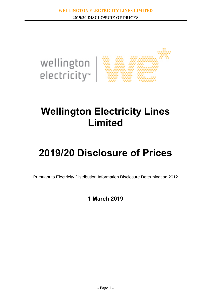

## **Wellington Electricity Lines Limited**

# **2019/20 Disclosure of Prices**

Pursuant to Electricity Distribution Information Disclosure Determination 2012

**1 March 2019**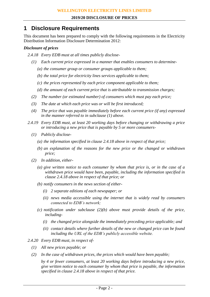## **1 Disclosure Requirements**

This document has been prepared to comply with the following requirements in the Electricity Distribution Information Disclosure Determination 2012:

### *Disclosure of prices*

- *2.4.18 Every EDB must at all times publicly disclose-*
	- *(1) Each current price expressed in a manner that enables consumers to determine-*
		- *(a) the consumer group or consumer groups applicable to them;*
		- *(b) the total price for electricity lines services applicable to them;*
		- *(c) the prices represented by each price component applicable to them;*
		- *(d) the amount of each current price that is attributable to transmission charges;*
	- *(2) The number (or estimated number) of consumers which must pay each price;*
	- *(3) The date at which each price was or will be first introduced;*
	- *(4) The price that was payable immediately before each current price (if any) expressed in the manner referred to in subclause (1) above.*
- *2.4.19 Every EDB must, at least 20 working days before changing or withdrawing a price or introducing a new price that is payable by 5 or more consumers-*
	- *(1) Publicly disclose-*
		- *(a) the information specified in clause 2.4.18 above in respect of that price;*
		- *(b) an explanation of the reasons for the new price or the changed or withdrawn price;*
	- *(2) In addition, either-*
		- *(a) give written notice to each consumer by whom that price is, or in the case of a withdrawn price would have been, payable, including the information specified in clause 2.4.18 above in respect of that price; or*
		- *(b) notify consumers in the news section of either-*
			- *(i) 2 separate editions of each newspaper; or*
			- *(ii) news media accessible using the internet that is widely read by consumers connected to EDB's network;*
		- *(c) notification under subclause (2)(b) above must provide details of the price, including-*
			- *(i) the changed price alongside the immediately preceding price applicable; and*
			- *(ii) contact details where further details of the new or changed price can be found including the URL of the EDB's publicly accessible website.*
- *2.4.20 Every EDB must, in respect of-*
	- *(1) All new prices payable; or*
	- *(2) In the case of withdrawn prices, the prices which would have been payable;*

*by 4 or fewer consumers, at least 20 working days before introducing a new price, give written notice to each consumer by whom that price is payable, the information specified in clause 2.4.18 above in respect of that price.*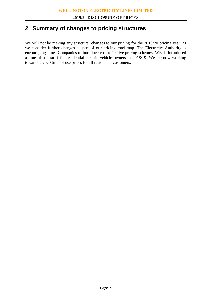## **2 Summary of changes to pricing structures**

We will not be making any structural changes to our pricing for the 2019/20 pricing year, as we consider further changes as part of our pricing road map. The Electricity Authority is encouraging Lines Companies to introduce cost reflective pricing schemes. WELL introduced a time of use tariff for residential electric vehicle owners in 2018/19. We are now working towards a 2020 time of use prices for all residential customers.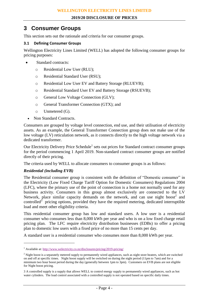## **3 Consumer Groups**

This section sets out the rationale and criteria for our consumer groups.

#### **3.1 Defining Consumer Groups**

Wellington Electricity Lines Limited (WELL) has adopted the following consumer groups for pricing purposes:

- Standard contracts:
	- o Residential Low User (RLU);
	- o Residential Standard User (RSU);
	- o Residential Low User EV and Battery Storage (RLUEVB);
	- o Residential Standard User EV and Battery Storage (RSUEVB);
	- o General Low Voltage Connection (GLV);
	- o General Transformer Connection (GTX); and
	- o Unmetered (G).
	- Non Standard Contracts.

Consumers are grouped by voltage level connection, end use, and their utilisation of electricity assets. As an example, the General Transformer Connection group does not make use of the low voltage (LV) reticulation network, as it connects directly to the high voltage network via a dedicated transformer.

Our Electricity Delivery Price Schedule<sup>1</sup> sets out prices for Standard contract consumer groups for the period commencing 1 April 2019. Non-standard contract consumer groups are notified directly of their pricing.

The criteria used by WELL to allocate consumers to consumer groups is as follows:

#### *Residential (including EVB)*

 $\overline{a}$ 

The Residential consumer group is consistent with the definition of "Domestic consumer" in the Electricity (Low Fixed Charge Tariff Option for Domestic Consumers) Regulations 2004 (LFC), where the primary use of the point of connection is a home not normally used for any business activity. Consumers in this group almost exclusively are connected to the LV Network, place similar capacity demands on the network, and can use night boost<sup>2</sup> and controlled<sup>3</sup> pricing options, provided they have the required metering, dedicated interruptible load and meet other eligibility criteria.

This residential consumer group has low and standard users. A low user is a residential consumer who consumes less than 8,000 kWh per year and who is on a low fixed charge retail pricing plan. The LFC require electricity distribution businesses (EDBs) to offer a pricing plan to domestic low users with a fixed price of no more than 15 cents per day.

A standard user is a residential consumer who consumes more than 8,000 kWh per year.

<sup>&</sup>lt;sup>1</sup> Available at:<http://www.welectricity.co.nz/disclosures/pricing/2019-pricing/>

 $2$  Night boost is a separately metered supply to permanently wired appliances, such as night store heaters, which are switched on and off at specific times. Night boost supply will be switched on during the night period (11pm to 7am) and for a minimum two hour boost period during the day (generally between 1pm to 3pm). Customers on EVB plans are not eligible for Night boost pricing.

<sup>3</sup> A controlled supply is a supply that allows WELL to control energy supply to permanently wired appliances, such as hot water cylinders. The load control associated with a controlled supply is not operated based on specific daily times.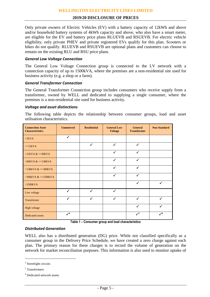#### **2019/20 DISCLOSURE OF PRICES**

Only private owners of Electric Vehicles (EV) with a battery capacity of 12kWh and above and/or household battery systems of 4kWh capacity and above, who also have a smart meter, are eligible for the EV and battery price plans RLUEVB and RSUEVB. For electric vehicle eligibility, only private PHEV and private registered EVs qualify for this plan. Scooters or bikes do not qualify. RLUEVB and RSUEVB are optional plans and customers can choose to remain on the existing RLU and RSU price plans.

#### *General Low Voltage Connection*

The General Low Voltage Connection group is connected to the LV network with a connection capacity of up to 1500kVA, where the premises are a non-residential site used for business activity (e.g. a shop or a farm).

#### *General Transformer Connection*

The General Transformer Connection group includes consumers who receive supply from a transformer, owned by WELL and dedicated to supplying a single consumer, where the premises is a non-residential site used for business activity.

#### *Voltage and asset distinctions*

The following table depicts the relationship between consumer groups, load and asset utilisation characteristics.

| <b>Connection Asset</b><br><b>Characteristics</b> | <b>Unmetered</b> | <b>Residential</b> | <b>General Low</b><br><b>Voltage</b> | <b>General</b><br><b>Transformer</b> | <b>Non Standard</b> |
|---------------------------------------------------|------------------|--------------------|--------------------------------------|--------------------------------------|---------------------|
| $\langle$ 1kVA                                    | $\checkmark$     |                    |                                      |                                      |                     |
| $\leq$ 15kVA                                      |                  | $\checkmark$       | $\checkmark$                         | $\checkmark$                         |                     |
| $>15kVA <=69kVA$                                  |                  |                    | $\checkmark$                         | $\checkmark$                         |                     |
| $>69$ kVA & $\lt$ =138kVA                         |                  |                    | $\checkmark$                         | $\checkmark$                         |                     |
| $>138kVA <=300kVA$                                |                  |                    | $\checkmark$                         | ✓                                    |                     |
| $>300$ kVA & $\leq 1500$ kVA                      |                  |                    | $\checkmark$                         | $\checkmark$                         |                     |
| $>1500kVA$                                        |                  |                    |                                      | $\checkmark$                         | ✓                   |
| Low voltage                                       | $\checkmark$     | $\checkmark$       | $\checkmark$                         |                                      |                     |
| Transformer                                       | $\checkmark$     | ✓                  | $\checkmark$                         | $\checkmark$                         | ✓                   |
| High voltage                                      |                  |                    |                                      | $\checkmark$                         |                     |
| <b>Dedicated assets</b>                           | $\mathcal{V}^4$  |                    |                                      | $\checkmark$                         | $\mathcal{V}^6$     |

**Table 1 – Consumer group and load characteristics**

#### *Distributed Generation*

WELL also has a distributed generation (DG) price. While not classified specifically as a consumer group in the Delivery Price Schedule, we have created a zero charge against each plan. The primary reason for these charges is to record the volume of generation on the network for market reconciliation purposes. This information is also used to monitor uptake of

 $\overline{a}$ 

<sup>&</sup>lt;sup>4</sup> Streetlight circuits

<sup>5</sup> Transformers

<sup>6</sup> Dedicated network assets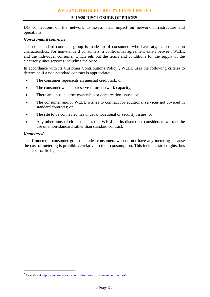#### **2019/20 DISCLOSURE OF PRICES**

DG connections on the network to assess their impact on network infrastructure and operations.

#### *Non-standard contracts*

The non-standard contracts group is made up of consumers who have atypical connection characteristics. For non-standard consumers, a confidential agreement exists between WELL and the individual consumer which sets out the terms and conditions for the supply of the electricity lines services including the price.

In accordance with its Customer Contributions Policy<sup>7</sup>, WELL uses the following criteria to determine if a non-standard contract is appropriate:

- The consumer represents an unusual credit risk; or
- The consumer wants to reserve future network capacity; or
- There are unusual asset ownership or demarcation issues; or
- The consumer and/or WELL wishes to contract for additional services not covered in standard contracts; or
- The site to be connected has unusual locational or security issues; or
- Any other unusual circumstances that WELL, at its discretion, considers to warrant the use of a non-standard rather than standard contract.

#### *Unmetered*

 $\overline{a}$ 

The Unmetered consumer group includes consumers who do not have any metering because the cost of metering is prohibitive relative to their consumption. This includes streetlights, bus shelters, traffic lights etc.

<sup>&</sup>lt;sup>7</sup> Available a[t http://www.welectricity.co.nz/disclosures/customer-contributions/](http://www.welectricity.co.nz/disclosures/customer-contributions/)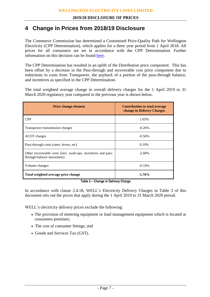## **4 Change in Prices from 2018/19 Disclosure**

The Commerce Commission has determined a Customised Price-Quality Path for Wellington Electricity (CPP Determination), which applies for a three year period from 1 April 2018. All prices for all consumers are set in accordance with the CPP Determination. Further information on this decision can be found [here.](http://www.comcom.govt.nz/regulated-industries/electricity/cpp/cpp-proposals-and-decisions/wellington-electricitys-2018-2021-cpp/)

The CPP Determination has resulted in an uplift of the Distribution price component. This has been offset by a decrease in the Pass-through and recoverable cost price component due to reductions in costs from Transpower, the payback of a portion of the pass-through balance, and incentives as specified in the CPP Determination.

The total weighted average change in overall delivery charges for the 1 April 2019 to 31 March 2020 regulatory year compared to the previous year is shown below.

| <b>Price change element</b>                                                                | Contribution to total average<br>change in Delivery Charges |  |  |  |
|--------------------------------------------------------------------------------------------|-------------------------------------------------------------|--|--|--|
| <b>CPP</b>                                                                                 | 1.65%                                                       |  |  |  |
| Transpower transmission charges                                                            | $-0.26%$                                                    |  |  |  |
| ACOT charges                                                                               | $-0.56%$                                                    |  |  |  |
| Pass-through costs (rates, levies, etc)                                                    | 0.19%                                                       |  |  |  |
| Other recoverable costs (incl. wash-ups, incentives and pass-<br>through balance movement) | $-2.68%$                                                    |  |  |  |
| Volume changes                                                                             | $-0.10%$                                                    |  |  |  |
| Total weighted average price change                                                        | $-1.76%$                                                    |  |  |  |

#### **Table 2 – Change in Delivery Charge**

In accordance with clause 2.4.18, WELL's Electricity Delivery Charges in Table 3 of this document sets out the prices that apply during the 1 April 2019 to 31 March 2020 period.

WELL's electricity delivery prices exclude the following:

- The provision of metering equipment or load management equipment which is located at consumers premises;
- The cost of consumer fittings; and
- Goods and Services Tax (GST).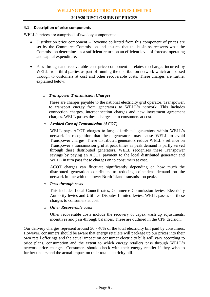#### **4.1 Description of price components**

WELL's prices are comprised of two key components:

- Distribution price component Revenue collected from this component of prices are set by the Commerce Commission and ensures that the business recovers what the Commission determines as a sufficient return on an efficient level of forecast operating and capital expenditure.
- Pass through and recoverable cost price component relates to charges incurred by WELL from third parties as part of running the distribution network which are passed through to customers at cost and other recoverable costs. These charges are further explained below:

#### o *Transpower Transmission Charges*

These are charges payable to the national electricity grid operator, Transpower, to transport energy from generators to WELL's network. This includes connection charges, interconnection charges and new investment agreement charges. WELL passes these charges onto consumers at cost.

#### o *Avoided Cost of Transmission (ACOT)*

WELL pays ACOT charges to large distributed generators within WELL's network in recognition that these generators may cause WELL to avoid Transpower charges. These distributed generators reduce WELL's reliance on Transpower's transmission grid at peak times as peak demand is partly served through these distributed generators. WELL recognises these Transpower savings by paying an ACOT payment to the local distributed generator and WELL in turn pass these charges on to consumers at cost.

ACOT charges can fluctuate significantly depending on how much the distributed generation contributes to reducing coincident demand on the network in line with the lower North Island transmission peaks.

#### o *Pass-through costs*

This includes Local Council rates, Commerce Commission levies, Electricity Authority levies and Utilities Disputes Limited levies. WELL passes on these charges to consumers at cost.

#### o *Other Recoverable costs*

Other recoverable costs include the recovery of capex wash up adjustments, incentives and pass-through balances. These are outlined in the CPP decision.

Our delivery charges represent around 30 - 40% of the total electricity bill paid by consumers. However, consumers should be aware that energy retailers will package up our prices into their own retail offerings and the actual impact on consumer electricity bills will vary according to price plans, consumption and the extent to which energy retailers pass through WELL's network price changes. Consumers should check with their energy retailer if they wish to further understand the actual impact on their total electricity bill.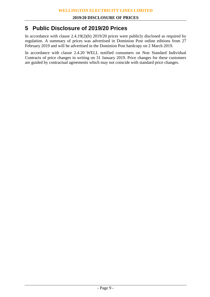## **5 Public Disclosure of 2019/20 Prices**

In accordance with clause 2.4.19(2)(b) 2019/20 prices were publicly disclosed as required by regulation. A summary of prices was advertised in Dominion Post online editions from 27 February 2019 and will be advertised in the Dominion Post hardcopy on 2 March 2019.

In accordance with clause 2.4.20 WELL notified consumers on Non Standard Individual Contracts of price changes in writing on 31 January 2019. Price changes for these customers are guided by contractual agreements which may not coincide with standard price changes.